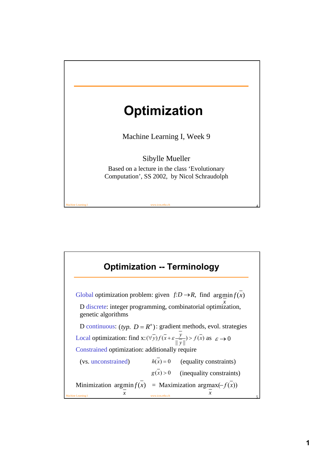

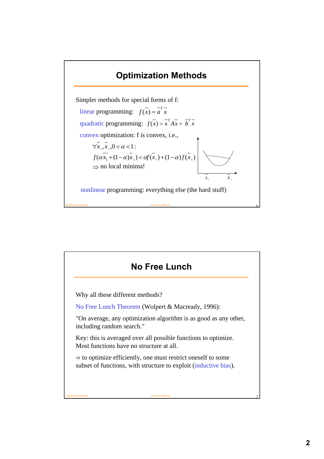## **Optimization Methods**



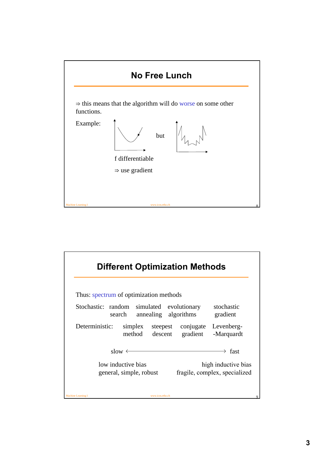

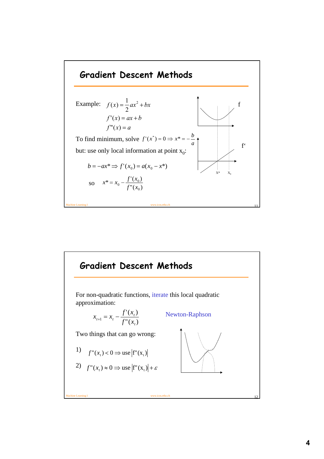

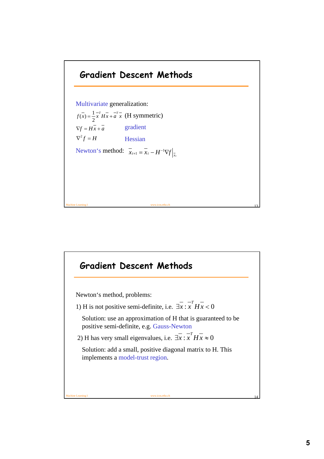